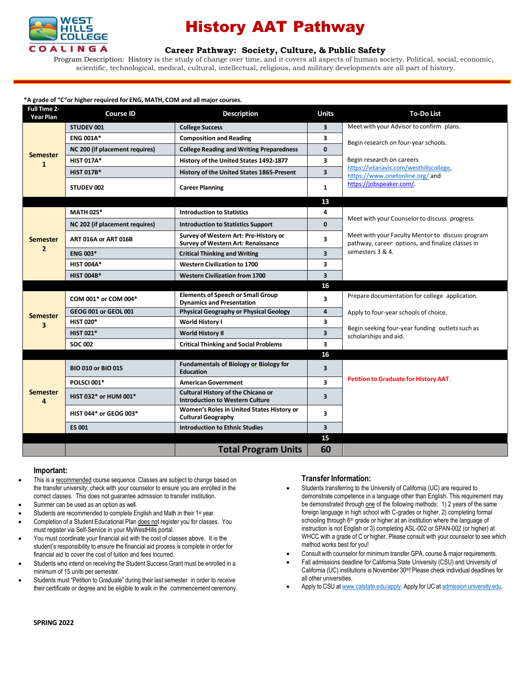

## History AAT Pathway

### **Career [Pathway:](http://www.broward.edu/academics/programs/Pages/social-behavioral-sciences-human-services-SBSHS.aspx) Society, Culture, & Public Safety**

Program Description: History is the study of change over time, and it covers all aspects of human society. Political, social, economic, scientific, technological, medical, cultural, intellectual, religious, and military developments are all part of history.

### **\*A grade of "C"or higher required for ENG, MATH, COM and all major courses.**

| <b>Full Time 2-</b><br>Year Plan  | <b>Course ID</b>               | <b>Description</b>                                                                  | <b>Units</b>            | <b>To-Do List</b>                                                                                    |
|-----------------------------------|--------------------------------|-------------------------------------------------------------------------------------|-------------------------|------------------------------------------------------------------------------------------------------|
| <b>Semester</b><br>$\mathbf{1}$   | STUDEV 001                     | <b>College Success</b>                                                              | 3                       | Meet with your Advisor to confirm plans.                                                             |
|                                   | <b>ENG 001A*</b>               | <b>Composition and Reading</b>                                                      | 3                       | Begin research on four-year schools.                                                                 |
|                                   | NC 200 (if placement requires) | <b>College Reading and Writing Preparedness</b>                                     | $\mathbf{0}$            |                                                                                                      |
|                                   | <b>HIST 017A*</b>              | History of the United States 1492-1877                                              | 3                       | Begin research on careers                                                                            |
|                                   | <b>HIST 017B*</b>              | History of the United States 1865-Present                                           | $\overline{\mathbf{3}}$ | https://vitanavis.com/westhillscollege.<br>https://www.onetonline.org/ and                           |
|                                   | STUDEV 002                     | <b>Career Planning</b>                                                              | $\mathbf{1}$            | https://jobspeaker.com/.                                                                             |
|                                   |                                |                                                                                     | 13                      |                                                                                                      |
| <b>Semester</b><br>$\overline{2}$ | <b>MATH 025*</b>               | <b>Introduction to Statistics</b>                                                   | 4                       | Meet with your Counselor to discuss progress.                                                        |
|                                   | NC 202 (if placement requires) | <b>Introduction to Statistics Support</b>                                           | $\Omega$                |                                                                                                      |
|                                   | ART 016A or ART 016B           | Survey of Western Art: Pre-History or<br><b>Survey of Western Art: Renaissance</b>  | 3                       | Meet with your Faculty Mentor to discuss program<br>pathway, career options, and finalize classes in |
|                                   | <b>ENG 003*</b>                | <b>Critical Thinking and Writing</b>                                                | $\overline{\mathbf{3}}$ | semesters 3 & 4.                                                                                     |
|                                   | <b>HIST 004A*</b>              | <b>Western Civilization to 1700</b>                                                 | 3                       |                                                                                                      |
|                                   | <b>HIST 004B*</b>              | <b>Western Civilization from 1700</b>                                               | $\overline{\mathbf{3}}$ |                                                                                                      |
|                                   |                                |                                                                                     | 16                      |                                                                                                      |
| <b>Semester</b>                   | COM 001* or COM 004*           | <b>Elements of Speech or Small Group</b><br><b>Dynamics and Presentation</b>        | 3                       | Prepare documentation for college application.                                                       |
|                                   | GEOG 001 or GEOL 001           | <b>Physical Geography or Physical Geology</b>                                       | 4                       | Apply to four-year schools of choice.                                                                |
| $\overline{\mathbf{3}}$           | <b>HIST 020*</b>               | <b>World History I</b>                                                              | 3                       | Begin seeking four-year funding outlets such as                                                      |
|                                   | <b>HIST 021*</b>               | <b>World History II</b>                                                             | $\overline{\mathbf{3}}$ | scholarships and aid.                                                                                |
|                                   | <b>SOC 002</b>                 | <b>Critical Thinking and Social Problems</b>                                        | 3                       |                                                                                                      |
|                                   |                                |                                                                                     | 16                      |                                                                                                      |
| <b>Semester</b><br>4              | <b>BIO 010 or BIO 015</b>      | <b>Fundamentals of Biology or Biology for</b><br><b>Education</b>                   | $\overline{\mathbf{3}}$ |                                                                                                      |
|                                   | <b>POLSCI 001*</b>             | <b>American Government</b>                                                          | $\overline{\mathbf{3}}$ | Petition to Graduate for History AAT.                                                                |
|                                   | HIST 032* or HUM 001*          | <b>Cultural History of the Chicano or</b><br><b>Introduction to Western Culture</b> | $\overline{\mathbf{3}}$ |                                                                                                      |
|                                   | <b>HIST 044* or GEOG 003*</b>  | Women's Roles in United States History or<br><b>Cultural Geography</b>              | 3                       |                                                                                                      |
|                                   | <b>ES 001</b>                  | <b>Introduction to Ethnic Studies</b>                                               | $\overline{\mathbf{3}}$ |                                                                                                      |
|                                   |                                |                                                                                     | 15                      |                                                                                                      |
|                                   |                                | <b>Total Program Units</b>                                                          | 60                      |                                                                                                      |

### **Important:**

- This is a recommended course sequence. Classes are subject to change based on the transfer university; check with your counselor to ensure you are enrolled in the correct classes. This does not guarantee admission to transfer institution.
- Summer can be used as an option as well.
- Students are recommended to complete English and Math in their 1<sup>st</sup> year.
- Completion of a Student Educational Plan does not register you for classes. You must register via Self-Service in your MyWestHills portal.
- You must coordinate your financial aid with the cost of classes above. It is the student's responsibility to ensure the financial aid process is complete in order for financial aid to cover the cost of tuition and fees incurred.
- Students who intend on receiving the Student Success Grant must be enrolled in a minimum of 15 units per semester.
- Students must "Petition to Graduate" during their last semester in order to receive their certificate or degree and be eligible to walk in the commencement ceremony.

## **Transfer Information:**

- Students transferring to the University of California (UC) are required to demonstrate competence in a language other than English. This requirement may be demonstrated through one of the following methods: 1) 2 years of the same foreign language in high school with C-grades or higher, 2) completing formal schooling through 6<sup>th</sup> grade or higher at an institution where the language of instruction is not English or 3) completing ASL-002 or SPAN-002 (or higher) at WHCC with a grade of C or higher. Please consult with your counselor to see which method works best for you!
- Consult with counselor for minimum transfer GPA, course & major requirements.
- Fall admissions deadline for California State University (CSU) and University of California (UC) institutions is November 30<sup>th</sup>! Please check individual deadlines for all other universities.
- Apply to CSU at [www.calstate.edu/apply.](http://www.calstate.edu/apply) Apply for UC at [admission.university.edu.](http://www.apply.universityofcalifornia.edu/)